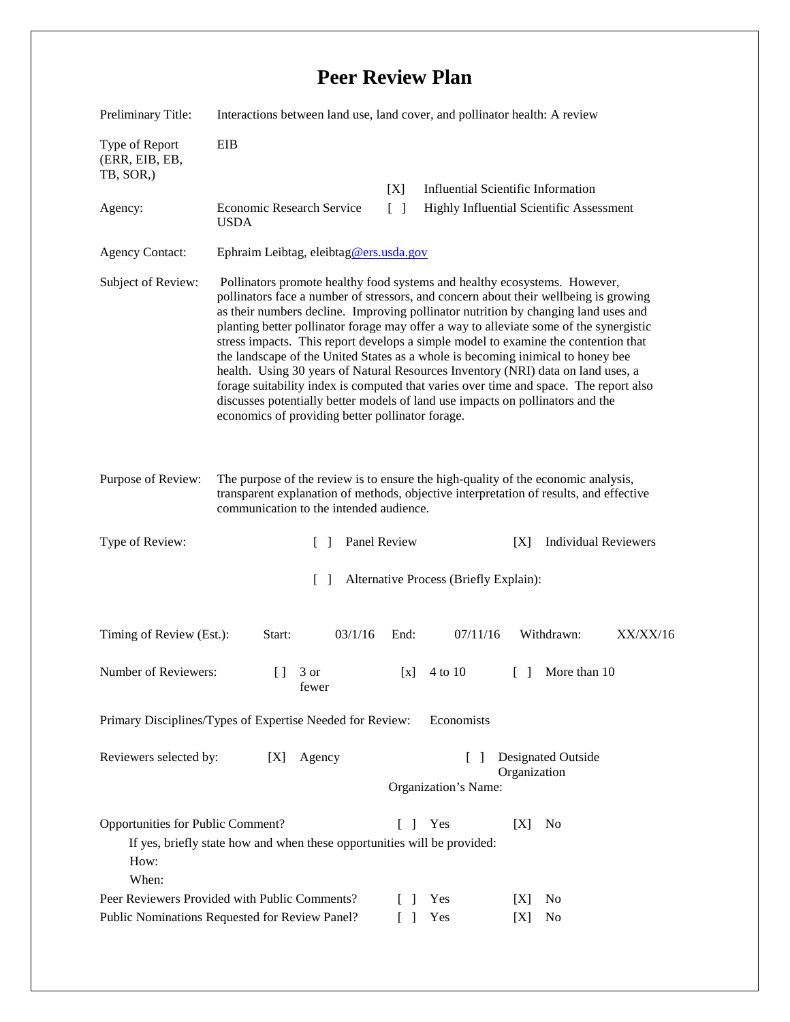## **Peer Review Plan**

| Preliminary Title:                                                                                                                                                                                                                           | Interactions between land use, land cover, and pollinator health: A review                                                                                                                                                                                                                                                                                                                                                                                                                                                                                                                                                                                                                                                                                                                                                                    |                                                             |                                                                             |                                       |                |          |  |
|----------------------------------------------------------------------------------------------------------------------------------------------------------------------------------------------------------------------------------------------|-----------------------------------------------------------------------------------------------------------------------------------------------------------------------------------------------------------------------------------------------------------------------------------------------------------------------------------------------------------------------------------------------------------------------------------------------------------------------------------------------------------------------------------------------------------------------------------------------------------------------------------------------------------------------------------------------------------------------------------------------------------------------------------------------------------------------------------------------|-------------------------------------------------------------|-----------------------------------------------------------------------------|---------------------------------------|----------------|----------|--|
| Type of Report<br>(ERR, EIB, EB,<br>TB, SOR,)                                                                                                                                                                                                | <b>EIB</b>                                                                                                                                                                                                                                                                                                                                                                                                                                                                                                                                                                                                                                                                                                                                                                                                                                    |                                                             |                                                                             |                                       |                |          |  |
|                                                                                                                                                                                                                                              |                                                                                                                                                                                                                                                                                                                                                                                                                                                                                                                                                                                                                                                                                                                                                                                                                                               | [X]                                                         | <b>Influential Scientific Information</b>                                   |                                       |                |          |  |
| Agency:                                                                                                                                                                                                                                      | Economic Research Service<br><b>USDA</b>                                                                                                                                                                                                                                                                                                                                                                                                                                                                                                                                                                                                                                                                                                                                                                                                      | $\lceil \rceil$<br>Highly Influential Scientific Assessment |                                                                             |                                       |                |          |  |
| <b>Agency Contact:</b>                                                                                                                                                                                                                       | Ephraim Leibtag, eleibtag@ers.usda.gov                                                                                                                                                                                                                                                                                                                                                                                                                                                                                                                                                                                                                                                                                                                                                                                                        |                                                             |                                                                             |                                       |                |          |  |
| Subject of Review:                                                                                                                                                                                                                           | Pollinators promote healthy food systems and healthy ecosystems. However,<br>pollinators face a number of stressors, and concern about their wellbeing is growing<br>as their numbers decline. Improving pollinator nutrition by changing land uses and<br>planting better pollinator forage may offer a way to alleviate some of the synergistic<br>stress impacts. This report develops a simple model to examine the contention that<br>the landscape of the United States as a whole is becoming inimical to honey bee<br>health. Using 30 years of Natural Resources Inventory (NRI) data on land uses, a<br>forage suitability index is computed that varies over time and space. The report also<br>discusses potentially better models of land use impacts on pollinators and the<br>economics of providing better pollinator forage. |                                                             |                                                                             |                                       |                |          |  |
| Purpose of Review:<br>The purpose of the review is to ensure the high-quality of the economic analysis,<br>transparent explanation of methods, objective interpretation of results, and effective<br>communication to the intended audience. |                                                                                                                                                                                                                                                                                                                                                                                                                                                                                                                                                                                                                                                                                                                                                                                                                                               |                                                             |                                                                             |                                       |                |          |  |
| Type of Review:                                                                                                                                                                                                                              | $\Box$                                                                                                                                                                                                                                                                                                                                                                                                                                                                                                                                                                                                                                                                                                                                                                                                                                        | Panel Review                                                | <b>Individual Reviewers</b><br>[X]                                          |                                       |                |          |  |
| $\lceil \; \rceil$<br>Alternative Process (Briefly Explain):                                                                                                                                                                                 |                                                                                                                                                                                                                                                                                                                                                                                                                                                                                                                                                                                                                                                                                                                                                                                                                                               |                                                             |                                                                             |                                       |                |          |  |
| Timing of Review (Est.):                                                                                                                                                                                                                     | 03/1/16<br>Start:                                                                                                                                                                                                                                                                                                                                                                                                                                                                                                                                                                                                                                                                                                                                                                                                                             | End:                                                        | 07/11/16                                                                    |                                       | Withdrawn:     | XX/XX/16 |  |
| Number of Reviewers:                                                                                                                                                                                                                         | $[ \ ]$<br>3 or<br>fewer                                                                                                                                                                                                                                                                                                                                                                                                                                                                                                                                                                                                                                                                                                                                                                                                                      | [x]                                                         | 4 to 10                                                                     | $\begin{bmatrix} 1 & 1 \end{bmatrix}$ | More than 10   |          |  |
| Economists<br>Primary Disciplines/Types of Expertise Needed for Review:                                                                                                                                                                      |                                                                                                                                                                                                                                                                                                                                                                                                                                                                                                                                                                                                                                                                                                                                                                                                                                               |                                                             |                                                                             |                                       |                |          |  |
| Reviewers selected by:<br>[X]<br>Agency                                                                                                                                                                                                      |                                                                                                                                                                                                                                                                                                                                                                                                                                                                                                                                                                                                                                                                                                                                                                                                                                               |                                                             | <b>Designated Outside</b><br>$\Box$<br>Organization<br>Organization's Name: |                                       |                |          |  |
|                                                                                                                                                                                                                                              |                                                                                                                                                                                                                                                                                                                                                                                                                                                                                                                                                                                                                                                                                                                                                                                                                                               |                                                             |                                                                             |                                       |                |          |  |
| Opportunities for Public Comment?<br>Yes<br>[X]<br>N <sub>0</sub><br>1<br>L<br>If yes, briefly state how and when these opportunities will be provided:<br>How:<br>When:                                                                     |                                                                                                                                                                                                                                                                                                                                                                                                                                                                                                                                                                                                                                                                                                                                                                                                                                               |                                                             |                                                                             |                                       |                |          |  |
| Peer Reviewers Provided with Public Comments?                                                                                                                                                                                                |                                                                                                                                                                                                                                                                                                                                                                                                                                                                                                                                                                                                                                                                                                                                                                                                                                               |                                                             | Yes                                                                         | [X]                                   | N <sub>0</sub> |          |  |
| Public Nominations Requested for Review Panel?                                                                                                                                                                                               |                                                                                                                                                                                                                                                                                                                                                                                                                                                                                                                                                                                                                                                                                                                                                                                                                                               |                                                             | Yes                                                                         | [X]                                   | No             |          |  |